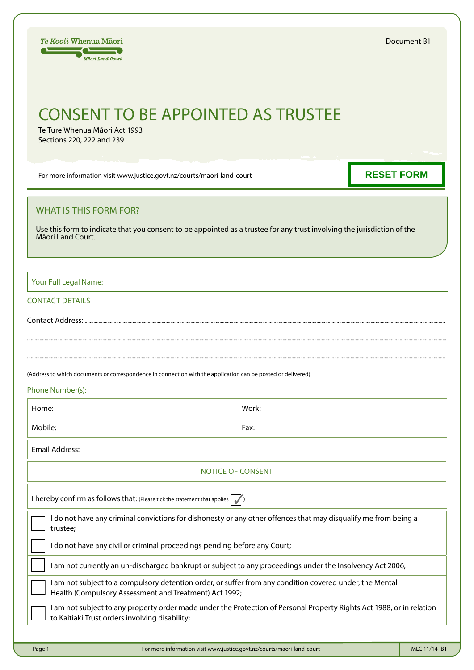| <i>Te Kooti</i> Whenua Māori |  |  |  |
|------------------------------|--|--|--|
| Māori Land Court             |  |  |  |

# CONSENT TO BE APPOINTED AS TRUSTEE

Te Ture Whenua Māori Act 1993 Sections 220, 222 and 239

For more information visit www.justice.govt.nz/courts/maori-land-court

# **RESET FORM**

## WHAT IS THIS FORM FOR?

Use this form to indicate that you consent to be appointed as a trustee for any trust involving the jurisdiction of the Māori Land Court.

Your Full Legal Name:

### CONTACT DETAILS

Contact Address: .....

(Address to which documents or correspondence in connection with the application can be posted or delivered)

#### Phone Number(s):

| Home: | Work: |
|-------|-------|
|       |       |

Mobile: Fax:

.............................................................................................................................................................................................................................................................................................................................................

............................................................................................................................................................................................................................................................................................................................................

Email Address:

| NOTICE OF CONSENT                                                                                                                                                       |  |  |
|-------------------------------------------------------------------------------------------------------------------------------------------------------------------------|--|--|
| I hereby confirm as follows that: (Please tick the statement that applies                                                                                               |  |  |
| I do not have any criminal convictions for dishonesty or any other offences that may disqualify me from being a<br>trustee:                                             |  |  |
| I do not have any civil or criminal proceedings pending before any Court;                                                                                               |  |  |
| I am not currently an un-discharged bankrupt or subject to any proceedings under the Insolvency Act 2006;                                                               |  |  |
| I am not subject to a compulsory detention order, or suffer from any condition covered under, the Mental<br>Health (Compulsory Assessment and Treatment) Act 1992;      |  |  |
| I am not subject to any property order made under the Protection of Personal Property Rights Act 1988, or in relation<br>to Kaitiaki Trust orders involving disability; |  |  |
|                                                                                                                                                                         |  |  |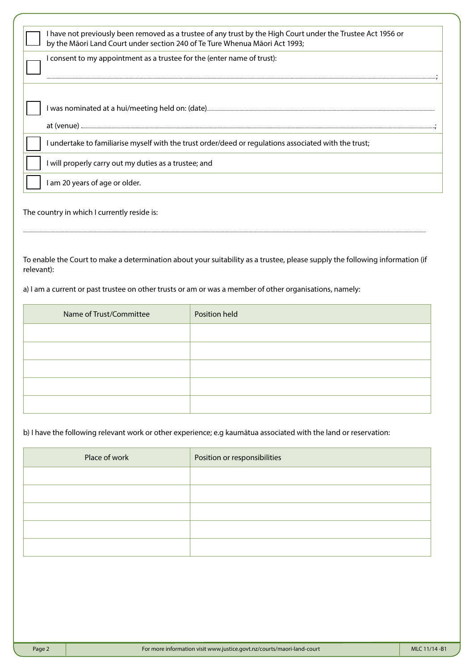| I have not previously been removed as a trustee of any trust by the High Court under the Trustee Act 1956 or<br>by the Māori Land Court under section 240 of Te Ture Whenua Māori Act 1993; |
|---------------------------------------------------------------------------------------------------------------------------------------------------------------------------------------------|
| I consent to my appointment as a trustee for the (enter name of trust):                                                                                                                     |
|                                                                                                                                                                                             |
| at (venue)                                                                                                                                                                                  |
| I undertake to familiarise myself with the trust order/deed or regulations associated with the trust;                                                                                       |
| I will properly carry out my duties as a trustee; and                                                                                                                                       |
| I am 20 years of age or older.                                                                                                                                                              |

The country in which I currently reside is:

To enable the Court to make a determination about your suitability as a trustee, please supply the following information (if relevant):

................................................................................................................................................................................................................................................................................................................................

a) I am a current or past trustee on other trusts or am or was a member of other organisations, namely:

| Name of Trust/Committee | Position held |
|-------------------------|---------------|
|                         |               |
|                         |               |
|                         |               |
|                         |               |
|                         |               |

# b) I have the following relevant work or other experience; e.g kaumātua associated with the land or reservation:

| Place of work | Position or responsibilities |  |  |
|---------------|------------------------------|--|--|
|               |                              |  |  |
|               |                              |  |  |
|               |                              |  |  |
|               |                              |  |  |
|               |                              |  |  |